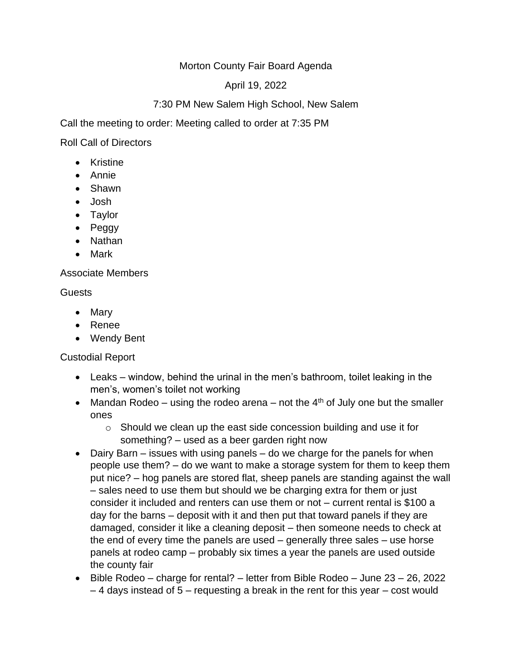## Morton County Fair Board Agenda

## April 19, 2022

# 7:30 PM New Salem High School, New Salem

Call the meeting to order: Meeting called to order at 7:35 PM

Roll Call of Directors

- Kristine
- Annie
- Shawn
- Josh
- Taylor
- Peggy
- Nathan
- Mark

#### Associate Members

#### **Guests**

- Mary
- Renee
- Wendy Bent

### Custodial Report

- Leaks window, behind the urinal in the men's bathroom, toilet leaking in the men's, women's toilet not working
- Mandan Rodeo using the rodeo arena not the  $4<sup>th</sup>$  of July one but the smaller ones
	- $\circ$  Should we clean up the east side concession building and use it for something? – used as a beer garden right now
- Dairy Barn issues with using panels do we charge for the panels for when people use them? – do we want to make a storage system for them to keep them put nice? – hog panels are stored flat, sheep panels are standing against the wall – sales need to use them but should we be charging extra for them or just consider it included and renters can use them or not – current rental is \$100 a day for the barns – deposit with it and then put that toward panels if they are damaged, consider it like a cleaning deposit – then someone needs to check at the end of every time the panels are used – generally three sales – use horse panels at rodeo camp – probably six times a year the panels are used outside the county fair
- Bible Rodeo charge for rental? letter from Bible Rodeo June 23 26, 2022 – 4 days instead of 5 – requesting a break in the rent for this year – cost would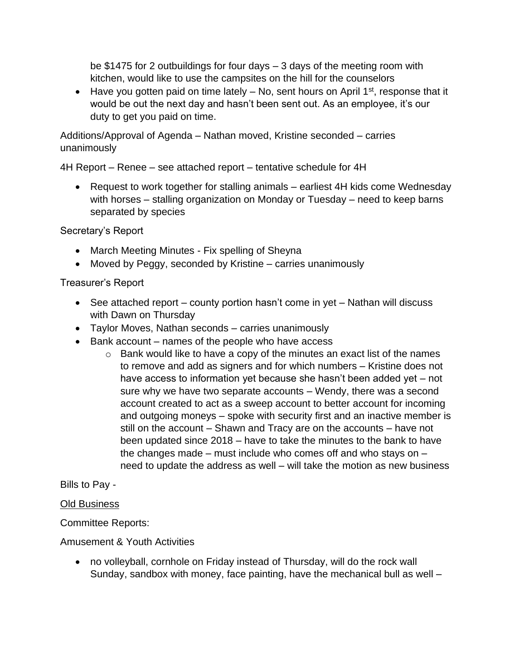be \$1475 for 2 outbuildings for four days – 3 days of the meeting room with kitchen, would like to use the campsites on the hill for the counselors

• Have you gotten paid on time lately  $-$  No, sent hours on April 1<sup>st</sup>, response that it would be out the next day and hasn't been sent out. As an employee, it's our duty to get you paid on time.

Additions/Approval of Agenda – Nathan moved, Kristine seconded – carries unanimously

4H Report – Renee – see attached report – tentative schedule for 4H

• Request to work together for stalling animals – earliest 4H kids come Wednesday with horses – stalling organization on Monday or Tuesday – need to keep barns separated by species

## Secretary's Report

- March Meeting Minutes Fix spelling of Sheyna
- Moved by Peggy, seconded by Kristine carries unanimously

## Treasurer's Report

- See attached report county portion hasn't come in yet Nathan will discuss with Dawn on Thursday
- Taylor Moves, Nathan seconds carries unanimously
- Bank account names of the people who have access
	- $\circ$  Bank would like to have a copy of the minutes an exact list of the names to remove and add as signers and for which numbers – Kristine does not have access to information yet because she hasn't been added yet – not sure why we have two separate accounts – Wendy, there was a second account created to act as a sweep account to better account for incoming and outgoing moneys – spoke with security first and an inactive member is still on the account – Shawn and Tracy are on the accounts – have not been updated since 2018 – have to take the minutes to the bank to have the changes made – must include who comes off and who stays on – need to update the address as well – will take the motion as new business

Bills to Pay -

### Old Business

Committee Reports:

### Amusement & Youth Activities

• no volleyball, cornhole on Friday instead of Thursday, will do the rock wall Sunday, sandbox with money, face painting, have the mechanical bull as well –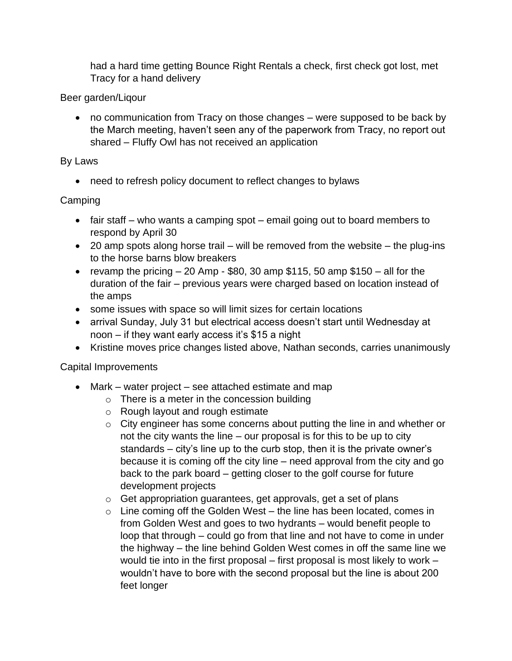had a hard time getting Bounce Right Rentals a check, first check got lost, met Tracy for a hand delivery

## Beer garden/Liqour

• no communication from Tracy on those changes – were supposed to be back by the March meeting, haven't seen any of the paperwork from Tracy, no report out shared – Fluffy Owl has not received an application

## By Laws

• need to refresh policy document to reflect changes to bylaws

# Camping

- fair staff who wants a camping spot email going out to board members to respond by April 30
- 20 amp spots along horse trail will be removed from the website the plug-ins to the horse barns blow breakers
- revamp the pricing  $-20$  Amp \$80, 30 amp \$115, 50 amp \$150  $-$  all for the duration of the fair – previous years were charged based on location instead of the amps
- some issues with space so will limit sizes for certain locations
- arrival Sunday, July 31 but electrical access doesn't start until Wednesday at noon – if they want early access it's \$15 a night
- Kristine moves price changes listed above, Nathan seconds, carries unanimously

### Capital Improvements

- Mark water project see attached estimate and map
	- $\circ$  There is a meter in the concession building
	- o Rough layout and rough estimate
	- o City engineer has some concerns about putting the line in and whether or not the city wants the line – our proposal is for this to be up to city standards – city's line up to the curb stop, then it is the private owner's because it is coming off the city line – need approval from the city and go back to the park board – getting closer to the golf course for future development projects
	- o Get appropriation guarantees, get approvals, get a set of plans
	- $\circ$  Line coming off the Golden West the line has been located, comes in from Golden West and goes to two hydrants – would benefit people to loop that through – could go from that line and not have to come in under the highway – the line behind Golden West comes in off the same line we would tie into in the first proposal – first proposal is most likely to work – wouldn't have to bore with the second proposal but the line is about 200 feet longer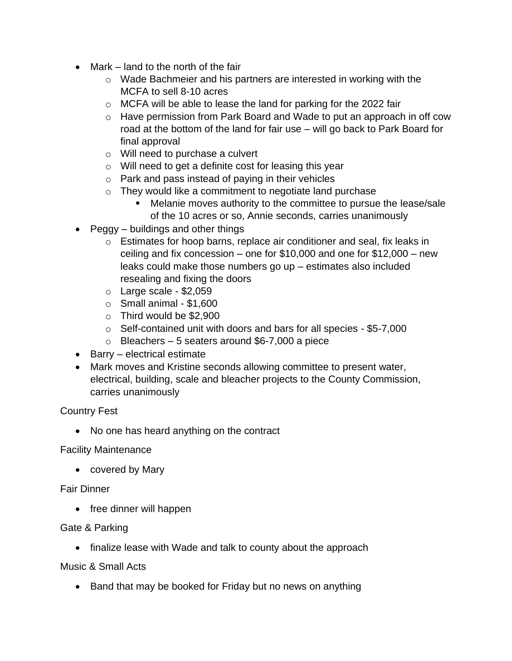- Mark land to the north of the fair
	- o Wade Bachmeier and his partners are interested in working with the MCFA to sell 8-10 acres
	- o MCFA will be able to lease the land for parking for the 2022 fair
	- o Have permission from Park Board and Wade to put an approach in off cow road at the bottom of the land for fair use – will go back to Park Board for final approval
	- o Will need to purchase a culvert
	- o Will need to get a definite cost for leasing this year
	- o Park and pass instead of paying in their vehicles
	- $\circ$  They would like a commitment to negotiate land purchase
		- Melanie moves authority to the committee to pursue the lease/sale of the 10 acres or so, Annie seconds, carries unanimously
- Peggy buildings and other things
	- $\circ$  Estimates for hoop barns, replace air conditioner and seal, fix leaks in ceiling and fix concession – one for \$10,000 and one for \$12,000 – new leaks could make those numbers go up – estimates also included resealing and fixing the doors
	- $\circ$  Large scale \$2,059
	- $\circ$  Small animal \$1,600
	- o Third would be \$2,900
	- o Self-contained unit with doors and bars for all species \$5-7,000
	- $\circ$  Bleachers 5 seaters around \$6-7,000 a piece
- Barry electrical estimate
- Mark moves and Kristine seconds allowing committee to present water, electrical, building, scale and bleacher projects to the County Commission, carries unanimously

Country Fest

• No one has heard anything on the contract

### Facility Maintenance

• covered by Mary

### Fair Dinner

• free dinner will happen

### Gate & Parking

• finalize lease with Wade and talk to county about the approach

Music & Small Acts

• Band that may be booked for Friday but no news on anything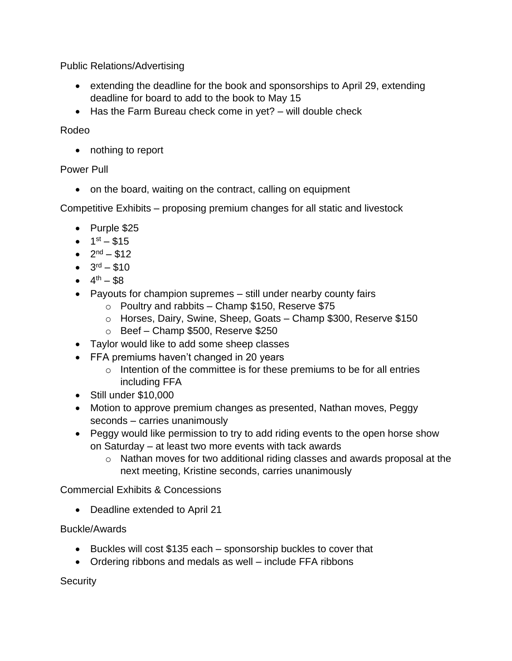Public Relations/Advertising

- extending the deadline for the book and sponsorships to April 29, extending deadline for board to add to the book to May 15
- Has the Farm Bureau check come in yet? will double check

Rodeo

• nothing to report

### Power Pull

• on the board, waiting on the contract, calling on equipment

Competitive Exhibits – proposing premium changes for all static and livestock

- Purple \$25
- $1^{st} $15$
- $2^{nd} $12$
- $3^{\text{rd}} $10$
- $4^{th} $8$
- Payouts for champion supremes still under nearby county fairs
	- $\circ$  Poultry and rabbits Champ \$150, Reserve \$75
	- o Horses, Dairy, Swine, Sheep, Goats Champ \$300, Reserve \$150
	- o Beef Champ \$500, Reserve \$250
- Taylor would like to add some sheep classes
- FFA premiums haven't changed in 20 years
	- $\circ$  Intention of the committee is for these premiums to be for all entries including FFA
- Still under \$10,000
- Motion to approve premium changes as presented, Nathan moves, Peggy seconds – carries unanimously
- Peggy would like permission to try to add riding events to the open horse show on Saturday – at least two more events with tack awards
	- o Nathan moves for two additional riding classes and awards proposal at the next meeting, Kristine seconds, carries unanimously

Commercial Exhibits & Concessions

• Deadline extended to April 21

### Buckle/Awards

- Buckles will cost \$135 each sponsorship buckles to cover that
- Ordering ribbons and medals as well include FFA ribbons

**Security**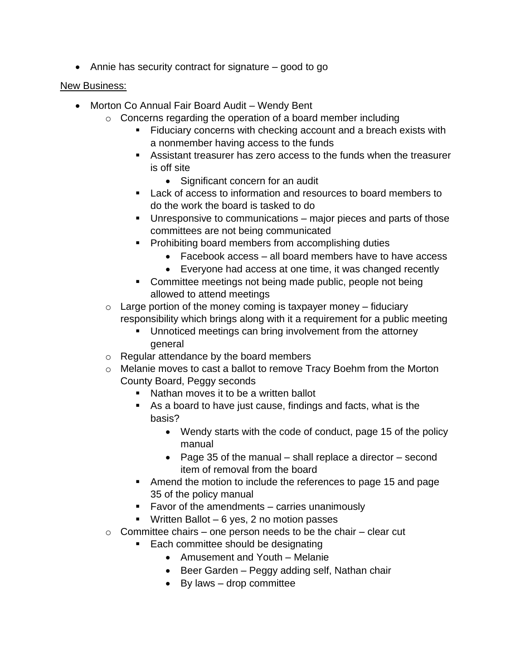• Annie has security contract for signature – good to go

### New Business:

- Morton Co Annual Fair Board Audit Wendy Bent
	- $\circ$  Concerns regarding the operation of a board member including
		- Fiduciary concerns with checking account and a breach exists with a nonmember having access to the funds
		- Assistant treasurer has zero access to the funds when the treasurer is off site
			- Significant concern for an audit
		- Lack of access to information and resources to board members to do the work the board is tasked to do
		- Unresponsive to communications major pieces and parts of those committees are not being communicated
		- Prohibiting board members from accomplishing duties
			- Facebook access all board members have to have access
			- Everyone had access at one time, it was changed recently
		- Committee meetings not being made public, people not being allowed to attend meetings
	- $\circ$  Large portion of the money coming is taxpayer money fiduciary responsibility which brings along with it a requirement for a public meeting
		- Unnoticed meetings can bring involvement from the attorney general
	- o Regular attendance by the board members
	- o Melanie moves to cast a ballot to remove Tracy Boehm from the Morton County Board, Peggy seconds
		- Nathan moves it to be a written ballot
		- As a board to have just cause, findings and facts, what is the basis?
			- Wendy starts with the code of conduct, page 15 of the policy manual
			- Page 35 of the manual shall replace a director second item of removal from the board
		- Amend the motion to include the references to page 15 and page 35 of the policy manual
		- Favor of the amendments carries unanimously
		- **■** Written Ballot  $-6$  yes, 2 no motion passes
	- $\circ$  Committee chairs one person needs to be the chair clear cut
		- Each committee should be designating
			- Amusement and Youth Melanie
			- Beer Garden Peggy adding self, Nathan chair
			- By laws drop committee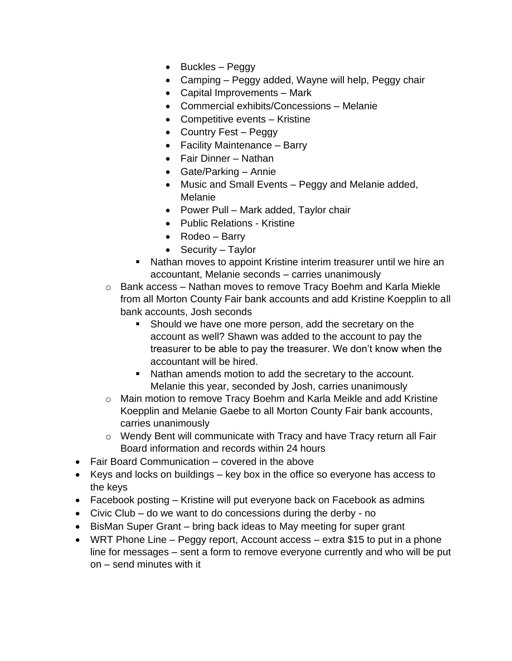- Buckles Peggy
- Camping Peggy added, Wayne will help, Peggy chair
- Capital Improvements Mark
- Commercial exhibits/Concessions Melanie
- Competitive events Kristine
- Country Fest Peggy
- Facility Maintenance Barry
- Fair Dinner Nathan
- Gate/Parking Annie
- Music and Small Events Peggy and Melanie added, Melanie
- Power Pull Mark added, Taylor chair
- Public Relations Kristine
- Rodeo Barry
- Security Taylor
- Nathan moves to appoint Kristine interim treasurer until we hire an accountant, Melanie seconds – carries unanimously
- o Bank access Nathan moves to remove Tracy Boehm and Karla Miekle from all Morton County Fair bank accounts and add Kristine Koepplin to all bank accounts, Josh seconds
	- Should we have one more person, add the secretary on the account as well? Shawn was added to the account to pay the treasurer to be able to pay the treasurer. We don't know when the accountant will be hired.
	- Nathan amends motion to add the secretary to the account. Melanie this year, seconded by Josh, carries unanimously
- o Main motion to remove Tracy Boehm and Karla Meikle and add Kristine Koepplin and Melanie Gaebe to all Morton County Fair bank accounts, carries unanimously
- o Wendy Bent will communicate with Tracy and have Tracy return all Fair Board information and records within 24 hours
- Fair Board Communication covered in the above
- Keys and locks on buildings key box in the office so everyone has access to the keys
- Facebook posting Kristine will put everyone back on Facebook as admins
- Civic Club do we want to do concessions during the derby no
- BisMan Super Grant bring back ideas to May meeting for super grant
- WRT Phone Line Peggy report, Account access extra \$15 to put in a phone line for messages – sent a form to remove everyone currently and who will be put on – send minutes with it